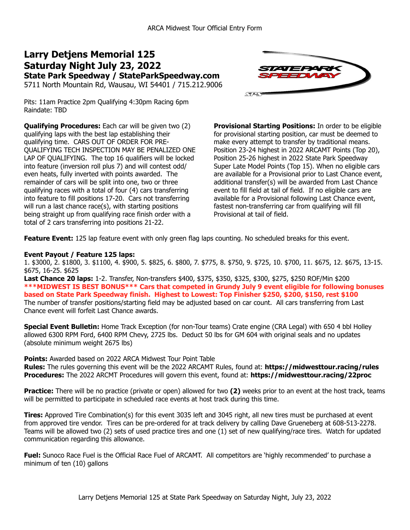# **Larry Detjens Memorial 125 Saturday Night July 23, 2022 State Park Speedway / StateParkSpeedway.com**

5711 North Mountain Rd, Wausau, WI 54401 / 715.212.9006



Pits: 11am Practice 2pm Qualifying 4:30pm Racing 6pm Raindate: TBD

**Qualifying Procedures:** Each car will be given two (2) qualifying laps with the best lap establishing their qualifying time. CARS OUT OF ORDER FOR PRE-QUALIFYING TECH INSPECTION MAY BE PENALIZED ONE LAP OF QUALIFYING. The top 16 qualifiers will be locked into feature (inversion roll plus 7) and will contest odd/ even heats, fully inverted with points awarded. The remainder of cars will be split into one, two or three qualifying races with a total of four (4) cars transferring into feature to fill positions 17-20. Cars not transferring will run a last chance race(s), with starting positions being straight up from qualifying race finish order with a total of 2 cars transferring into positions 21-22.

**Provisional Starting Positions:** In order to be eligible for provisional starting position, car must be deemed to make every attempt to transfer by traditional means. Position 23-24 highest in 2022 ARCAMT Points (Top 20), Position 25-26 highest in 2022 State Park Speedway Super Late Model Points (Top 15). When no eligible cars are available for a Provisional prior to Last Chance event, additional transfer(s) will be awarded from Last Chance event to fill field at tail of field. If no eligible cars are available for a Provisional following Last Chance event, fastest non-transferring car from qualifying will fill Provisional at tail of field.

**Feature Event:** 125 lap feature event with only green flag laps counting. No scheduled breaks for this event.

#### **Event Payout / Feature 125 laps:**

1. \$3000, 2. \$1800, 3. \$1100, 4. \$900, 5. \$825, 6. \$800, 7. \$775, 8. \$750, 9. \$725, 10. \$700, 11. \$675, 12. \$675, 13-15. \$675, 16-25. \$625

**Last Chance 20 laps:** 1-2. Transfer, Non-transfers \$400, \$375, \$350, \$325, \$300, \$275, \$250 ROF/Min \$200 **\*\*\*MIDWEST IS BEST BONUS\*\*\* Cars that competed in Grundy July 9 event eligible for following bonuses based on State Park Speedway finish. Highest to Lowest: Top Finisher \$250, \$200, \$150, rest \$100** The number of transfer positions/starting field may be adjusted based on car count. All cars transferring from Last Chance event will forfeit Last Chance awards.

**Special Event Bulletin:** Home Track Exception (for non-Tour teams) Crate engine (CRA Legal) with 650 4 bbl Holley allowed 6300 RPM Ford, 6400 RPM Chevy, 2725 lbs. Deduct 50 lbs for GM 604 with original seals and no updates (absolute minimum weight 2675 lbs)

**Points:** Awarded based on 2022 ARCA Midwest Tour Point Table

**Rules:** The rules governing this event will be the 2022 ARCAMT Rules, found at: **https://midwesttour.racing/rules Procedures:** The 2022 ARCMT Procedures will govern this event, found at: **https://midwesttour.racing/22proc**

**Practice:** There will be no practice (private or open) allowed for two **(2)** weeks prior to an event at the host track, teams will be permitted to participate in scheduled race events at host track during this time.

**Tires:** Approved Tire Combination(s) for this event 3035 left and 3045 right, all new tires must be purchased at event from approved tire vendor. Tires can be pre-ordered for at track delivery by calling Dave Grueneberg at 608-513-2278. Teams will be allowed two (2) sets of used practice tires and one (1) set of new qualifying/race tires. Watch for updated communication regarding this allowance.

**Fuel:** Sunoco Race Fuel is the Official Race Fuel of ARCAMT. All competitors are 'highly recommended' to purchase a minimum of ten (10) gallons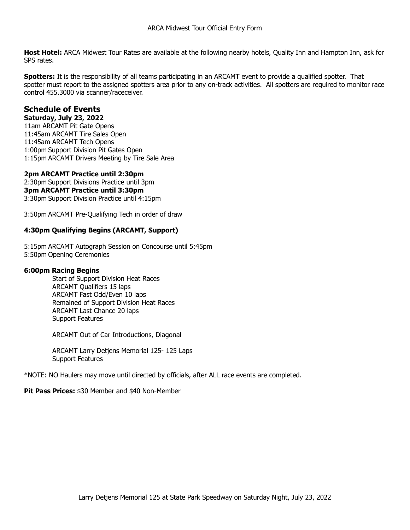**Host Hotel:** ARCA Midwest Tour Rates are available at the following nearby hotels, Quality Inn and Hampton Inn, ask for SPS rates.

**Spotters:** It is the responsibility of all teams participating in an ARCAMT event to provide a qualified spotter. That spotter must report to the assigned spotters area prior to any on-track activities. All spotters are required to monitor race control 455.3000 via scanner/raceceiver.

## **Schedule of Events**

### **Saturday, July 23, 2022**

11am ARCAMT Pit Gate Opens 11:45am ARCAMT Tire Sales Open 11:45am ARCAMT Tech Opens 1:00pm Support Division Pit Gates Open 1:15pm ARCAMT Drivers Meeting by Tire Sale Area

#### **2pm ARCAMT Practice until 2:30pm**

2:30pm Support Divisions Practice until 3pm **3pm ARCAMT Practice until 3:30pm** 3:30pm Support Division Practice until 4:15pm

3:50pm ARCAMT Pre-Qualifying Tech in order of draw

#### **4:30pm Qualifying Begins (ARCAMT, Support)**

5:15pm ARCAMT Autograph Session on Concourse until 5:45pm 5:50pm Opening Ceremonies

#### **6:00pm Racing Begins**

 Start of Support Division Heat Races ARCAMT Qualifiers 15 laps ARCAMT Fast Odd/Even 10 laps Remained of Support Division Heat Races ARCAMT Last Chance 20 laps Support Features

ARCAMT Out of Car Introductions, Diagonal

 ARCAMT Larry Detjens Memorial 125- 125 Laps Support Features

\*NOTE: NO Haulers may move until directed by officials, after ALL race events are completed.

**Pit Pass Prices:** \$30 Member and \$40 Non-Member